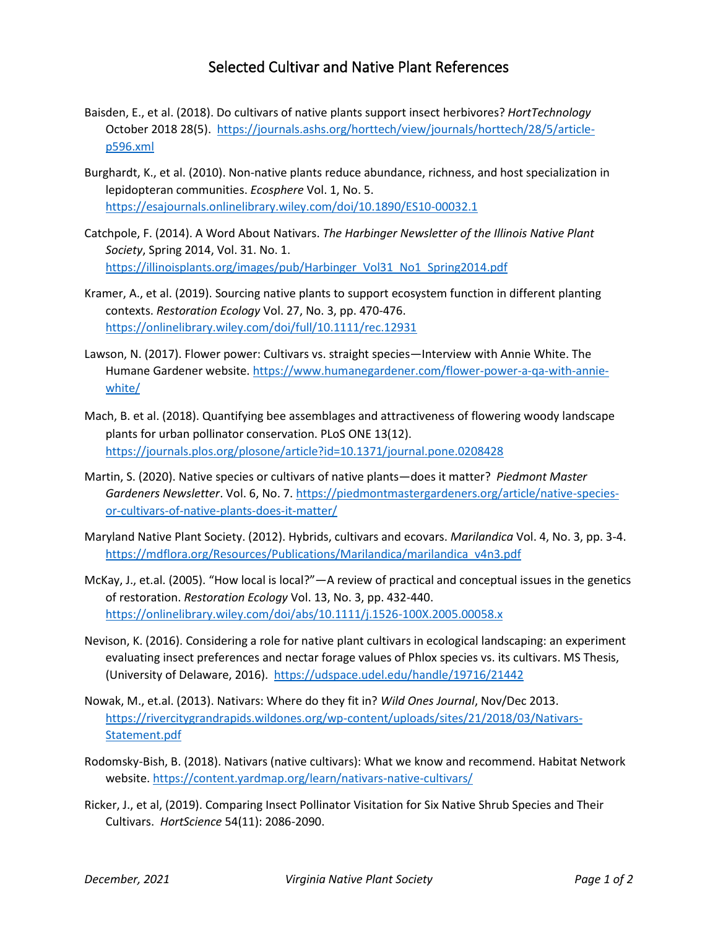## Selected Cultivar and Native Plant References

- Baisden, E., et al. (2018). Do cultivars of native plants support insect herbivores? *HortTechnology* October 2018 28(5). [https://journals.ashs.org/horttech/view/journals/horttech/28/5/article](https://journals.ashs.org/horttech/view/journals/horttech/28/5/article-p596.xml)[p596.xml](https://journals.ashs.org/horttech/view/journals/horttech/28/5/article-p596.xml)
- Burghardt, K., et al. (2010). Non-native plants reduce abundance, richness, and host specialization in lepidopteran communities. *Ecosphere* Vol. 1, No. 5. <https://esajournals.onlinelibrary.wiley.com/doi/10.1890/ES10-00032.1>
- Catchpole, F. (2014). A Word About Nativars. *The Harbinger Newsletter of the Illinois Native Plant Society*, Spring 2014, Vol. 31. No. 1. [https://illinoisplants.org/images/pub/Harbinger\\_Vol31\\_No1\\_Spring2014.pdf](https://illinoisplants.org/images/pub/Harbinger_Vol31_No1_Spring2014.pdf)
- Kramer, A., et al. (2019). Sourcing native plants to support ecosystem function in different planting contexts. *Restoration Ecology* Vol. 27, No. 3, pp. 470-476. <https://onlinelibrary.wiley.com/doi/full/10.1111/rec.12931>
- Lawson, N. (2017). Flower power: Cultivars vs. straight species—Interview with Annie White. The Humane Gardener website[. https://www.humanegardener.com/flower-power-a-qa-with-annie](https://www.humanegardener.com/flower-power-a-qa-with-annie-white/)[white/](https://www.humanegardener.com/flower-power-a-qa-with-annie-white/)
- Mach, B. et al. (2018). Quantifying bee assemblages and attractiveness of flowering woody landscape plants for urban pollinator conservation. PLoS ONE 13(12). <https://journals.plos.org/plosone/article?id=10.1371/journal.pone.0208428>
- Martin, S. (2020). Native species or cultivars of native plants—does it matter? *Piedmont Master Gardeners Newsletter*. Vol. 6, No. 7[. https://piedmontmastergardeners.org/article/native-species](https://piedmontmastergardeners.org/article/native-species-or-cultivars-of-native-plants-does-it-matter/)[or-cultivars-of-native-plants-does-it-matter/](https://piedmontmastergardeners.org/article/native-species-or-cultivars-of-native-plants-does-it-matter/)
- Maryland Native Plant Society. (2012). Hybrids, cultivars and ecovars. *Marilandica* Vol. 4, No. 3, pp. 3-4. [https://mdflora.org/Resources/Publications/Marilandica/marilandica\\_v4n3.pdf](https://mdflora.org/Resources/Publications/Marilandica/marilandica_v4n3.pdf)
- McKay, J., et.al. (2005). "How local is local?"—A review of practical and conceptual issues in the genetics of restoration. *Restoration Ecology* Vol. 13, No. 3, pp. 432-440. <https://onlinelibrary.wiley.com/doi/abs/10.1111/j.1526-100X.2005.00058.x>
- Nevison, K. (2016). Considering a role for native plant cultivars in ecological landscaping: an experiment evaluating insect preferences and nectar forage values of Phlox species vs. its cultivars. MS Thesis, (University of Delaware, 2016). <https://udspace.udel.edu/handle/19716/21442>
- Nowak, M., et.al. (2013). Nativars: Where do they fit in? *Wild Ones Journal*, Nov/Dec 2013. [https://rivercitygrandrapids.wildones.org/wp-content/uploads/sites/21/2018/03/Nativars-](https://rivercitygrandrapids.wildones.org/wp-content/uploads/sites/21/2018/03/Nativars-Statement.pdf)[Statement.pdf](https://rivercitygrandrapids.wildones.org/wp-content/uploads/sites/21/2018/03/Nativars-Statement.pdf)
- Rodomsky-Bish, B. (2018). Nativars (native cultivars): What we know and recommend. Habitat Network website[. https://content.yardmap.org/learn/nativars-native-cultivars/](https://content.yardmap.org/learn/nativars-native-cultivars/)
- Ricker, J., et al, (2019). Comparing Insect Pollinator Visitation for Six Native Shrub Species and Their Cultivars. *HortScience* 54(11): 2086-2090.